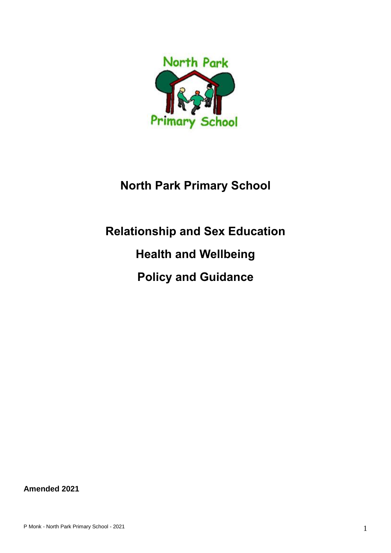

# **North Park Primary School**

# **Relationship and Sex Education Health and Wellbeing Policy and Guidance**

**Amended 2021**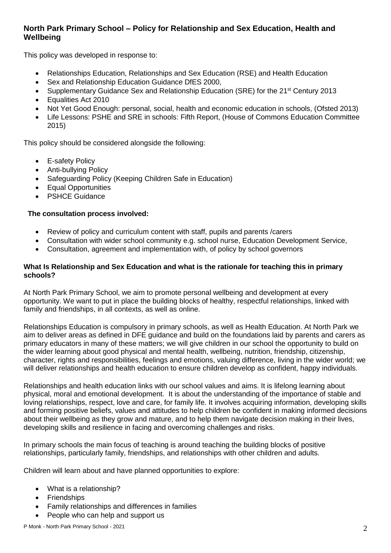# **North Park Primary School – Policy for Relationship and Sex Education, Health and Wellbeing**

This policy was developed in response to:

- Relationships Education, Relationships and Sex Education (RSE) and Health Education
- Sex and Relationship Education Guidance DfES 2000,
- Supplementary Guidance Sex and Relationship Education (SRE) for the 21<sup>st</sup> Century 2013
- Equalities Act 2010
- Not Yet Good Enough: personal, social, health and economic education in schools, (Ofsted 2013)
- Life Lessons: PSHE and SRE in schools: Fifth Report, (House of Commons Education Committee 2015)

This policy should be considered alongside the following:

- **E-safety Policy**
- Anti-bullying Policy
- Safeguarding Policy (Keeping Children Safe in Education)
- Equal Opportunities
- PSHCE Guidance

# **The consultation process involved:**

- Review of policy and curriculum content with staff, pupils and parents /carers
- Consultation with wider school community e.g. school nurse, Education Development Service,
- Consultation, agreement and implementation with, of policy by school governors

#### **What Is Relationship and Sex Education and what is the rationale for teaching this in primary schools?**

At North Park Primary School, we aim to promote personal wellbeing and development at every opportunity. We want to put in place the building blocks of healthy, respectful relationships, linked with family and friendships, in all contexts, as well as online.

Relationships Education is compulsory in primary schools, as well as Health Education. At North Park we aim to deliver areas as defined in DFE guidance and build on the foundations laid by parents and carers as primary educators in many of these matters; we will give children in our school the opportunity to build on the wider learning about good physical and mental health, wellbeing, nutrition, friendship, citizenship, character, rights and responsibilities, feelings and emotions, valuing difference, living in the wider world; we will deliver relationships and health education to ensure children develop as confident, happy individuals.

Relationships and health education links with our school values and aims. It is lifelong learning about physical, moral and emotional development. It is about the understanding of the importance of stable and loving relationships, respect, love and care, for family life. It involves acquiring information, developing skills and forming positive beliefs, values and attitudes to help children be confident in making informed decisions about their wellbeing as they grow and mature, and to help them navigate decision making in their lives, developing skills and resilience in facing and overcoming challenges and risks.

In primary schools the main focus of teaching is around teaching the building blocks of positive relationships, particularly family, friendships, and relationships with other children and adults.

Children will learn about and have planned opportunities to explore:

- What is a relationship?
- **Friendships**
- Family relationships and differences in families
- People who can help and support us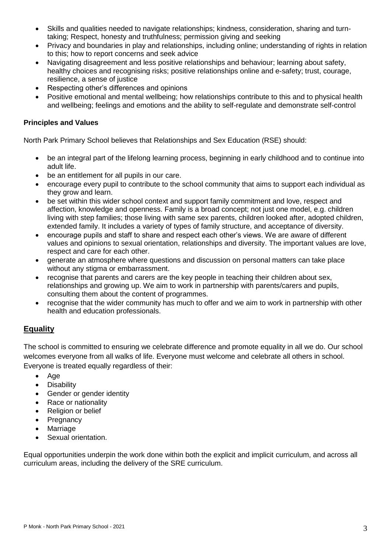- Skills and qualities needed to navigate relationships; kindness, consideration, sharing and turntaking; Respect, honesty and truthfulness; permission giving and seeking
- Privacy and boundaries in play and relationships, including online; understanding of rights in relation to this; how to report concerns and seek advice
- Navigating disagreement and less positive relationships and behaviour; learning about safety, healthy choices and recognising risks; positive relationships online and e-safety; trust, courage, resilience, a sense of justice
- Respecting other's differences and opinions
- Positive emotional and mental wellbeing; how relationships contribute to this and to physical health and wellbeing; feelings and emotions and the ability to self-regulate and demonstrate self-control

# **Principles and Values**

North Park Primary School believes that Relationships and Sex Education (RSE) should:

- be an integral part of the lifelong learning process, beginning in early childhood and to continue into adult life.
- be an entitlement for all pupils in our care.
- encourage every pupil to contribute to the school community that aims to support each individual as they grow and learn.
- be set within this wider school context and support family commitment and love, respect and affection, knowledge and openness. Family is a broad concept; not just one model, e.g. children living with step families; those living with same sex parents, children looked after, adopted children, extended family. It includes a variety of types of family structure, and acceptance of diversity.
- encourage pupils and staff to share and respect each other's views. We are aware of different values and opinions to sexual orientation, relationships and diversity. The important values are love, respect and care for each other.
- generate an atmosphere where questions and discussion on personal matters can take place without any stigma or embarrassment.
- recognise that parents and carers are the key people in teaching their children about sex, relationships and growing up. We aim to work in partnership with parents/carers and pupils, consulting them about the content of programmes.
- recognise that the wider community has much to offer and we aim to work in partnership with other health and education professionals.

# **Equality**

The school is committed to ensuring we celebrate difference and promote equality in all we do. Our school welcomes everyone from all walks of life. Everyone must welcome and celebrate all others in school. Everyone is treated equally regardless of their:

- Age
- Disability
- Gender or gender identity
- Race or nationality
- Religion or belief
- **Pregnancy**
- Marriage
- Sexual orientation.

Equal opportunities underpin the work done within both the explicit and implicit curriculum, and across all curriculum areas, including the delivery of the SRE curriculum.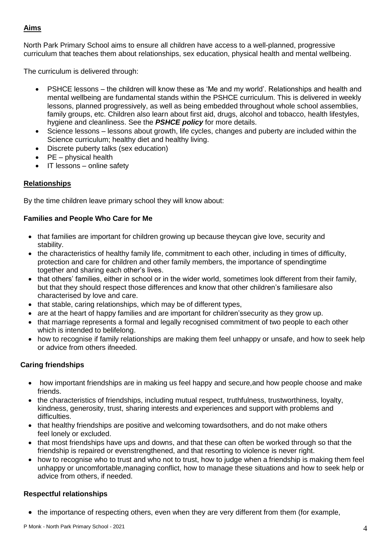# **Aims**

North Park Primary School aims to ensure all children have access to a well-planned, progressive curriculum that teaches them about relationships, sex education, physical health and mental wellbeing.

The curriculum is delivered through:

- PSHCE lessons the children will know these as 'Me and my world'. Relationships and health and mental wellbeing are fundamental stands within the PSHCE curriculum. This is delivered in weekly lessons, planned progressively, as well as being embedded throughout whole school assemblies, family groups, etc. Children also learn about first aid, drugs, alcohol and tobacco, health lifestyles, hygiene and cleanliness. See the *PSHCE policy* for more details.
- Science lessons lessons about growth, life cycles, changes and puberty are included within the Science curriculum; healthy diet and healthy living.
- Discrete puberty talks (sex education)
- PE physical health
- IT lessons online safety

# **Relationships**

By the time children leave primary school they will know about:

# **Families and People Who Care for Me**

- that families are important for children growing up because theycan give love, security and stability.
- the characteristics of healthy family life, commitment to each other, including in times of difficulty, protection and care for children and other family members, the importance of spendingtime together and sharing each other's lives.
- that others' families, either in school or in the wider world, sometimes look different from their family, but that they should respect those differences and know that other children's familiesare also characterised by love and care.
- that stable, caring relationships, which may be of different types,
- are at the heart of happy families and are important for children's security as they grow up.
- that marriage represents a formal and legally recognised commitment of two people to each other which is intended to belifelong.
- how to recognise if family relationships are making them feel unhappy or unsafe, and how to seek help or advice from others ifneeded.

#### **Caring friendships**

- how important friendships are in making us feel happy and secure, and how people choose and make friends.
- the characteristics of friendships, including mutual respect, truthfulness, trustworthiness, loyalty, kindness, generosity, trust, sharing interests and experiences and support with problems and difficulties.
- that healthy friendships are positive and welcoming towardsothers, and do not make others feel lonely or excluded.
- that most friendships have ups and downs, and that these can often be worked through so that the friendship is repaired or evenstrengthened, and that resorting to violence is never right.
- how to recognise who to trust and who not to trust, how to judge when a friendship is making them feel unhappy or uncomfortable,managing conflict, how to manage these situations and how to seek help or advice from others, if needed.

#### **Respectful relationships**

• the importance of respecting others, even when they are very different from them (for example,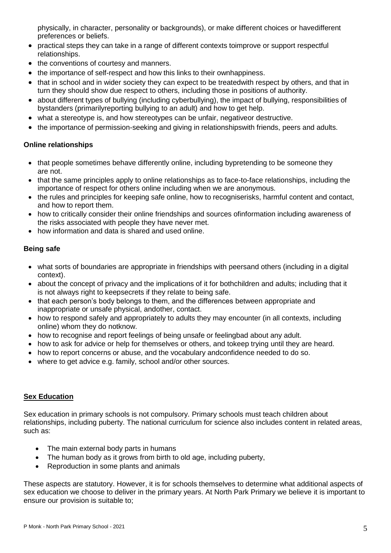physically, in character, personality or backgrounds), or make different choices or havedifferent preferences or beliefs.

- practical steps they can take in a range of different contexts toimprove or support respectful relationships.
- the conventions of courtesy and manners.
- the importance of self-respect and how this links to their ownhappiness.
- that in school and in wider society they can expect to be treatedwith respect by others, and that in turn they should show due respect to others, including those in positions of authority.
- about different types of bullying (including cyberbullying), the impact of bullying, responsibilities of bystanders (primarilyreporting bullying to an adult) and how to get help.
- what a stereotype is, and how stereotypes can be unfair, negativeor destructive.
- the importance of permission-seeking and giving in relationshipswith friends, peers and adults.

# **Online relationships**

- that people sometimes behave differently online, including bypretending to be someone they are not.
- that the same principles apply to online relationships as to face-to-face relationships, including the importance of respect for others online including when we are anonymous.
- the rules and principles for keeping safe online, how to recogniserisks, harmful content and contact, and how to report them.
- how to critically consider their online friendships and sources ofinformation including awareness of the risks associated with people they have never met.
- how information and data is shared and used online.

# **Being safe**

- what sorts of boundaries are appropriate in friendships with peersand others (including in a digital context).
- about the concept of privacy and the implications of it for bothchildren and adults; including that it is not always right to keepsecrets if they relate to being safe.
- that each person's body belongs to them, and the differences between appropriate and inappropriate or unsafe physical, andother, contact.
- how to respond safely and appropriately to adults they may encounter (in all contexts, including online) whom they do notknow.
- how to recognise and report feelings of being unsafe or feelingbad about any adult.
- how to ask for advice or help for themselves or others, and tokeep trying until they are heard.
- how to report concerns or abuse, and the vocabulary andconfidence needed to do so.
- where to get advice e.g. family, school and/or other sources.

# **Sex Education**

Sex education in primary schools is not compulsory. Primary schools must teach children about relationships, including puberty. The national curriculum for science also includes content in related areas, such as:

- The main external body parts in humans
- The human body as it grows from birth to old age, including puberty,
- Reproduction in some plants and animals

These aspects are statutory. However, it is for schools themselves to determine what additional aspects of sex education we choose to deliver in the primary years. At North Park Primary we believe it is important to ensure our provision is suitable to;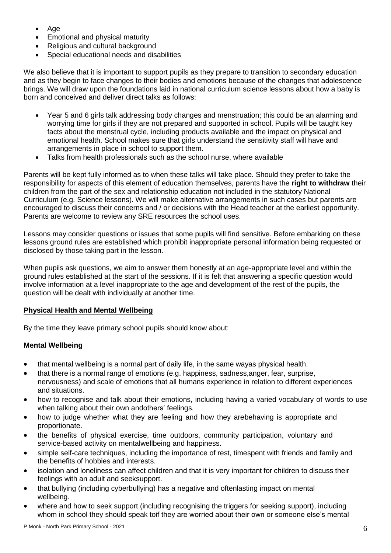- Age
- Emotional and physical maturity
- Religious and cultural background
- Special educational needs and disabilities

We also believe that it is important to support pupils as they prepare to transition to secondary education and as they begin to face changes to their bodies and emotions because of the changes that adolescence brings. We will draw upon the foundations laid in national curriculum science lessons about how a baby is born and conceived and deliver direct talks as follows:

- Year 5 and 6 girls talk addressing body changes and menstruation; this could be an alarming and worrying time for girls if they are not prepared and supported in school. Pupils will be taught key facts about the menstrual cycle, including products available and the impact on physical and emotional health. School makes sure that girls understand the sensitivity staff will have and arrangements in place in school to support them.
- Talks from health professionals such as the school nurse, where available

Parents will be kept fully informed as to when these talks will take place. Should they prefer to take the responsibility for aspects of this element of education themselves, parents have the **right to withdraw** their children from the part of the sex and relationship education not included in the statutory National Curriculum (e.g. Science lessons). We will make alternative arrangements in such cases but parents are encouraged to discuss their concerns and / or decisions with the Head teacher at the earliest opportunity. Parents are welcome to review any SRE resources the school uses.

Lessons may consider questions or issues that some pupils will find sensitive. Before embarking on these lessons ground rules are established which prohibit inappropriate personal information being requested or disclosed by those taking part in the lesson.

When pupils ask questions, we aim to answer them honestly at an age-appropriate level and within the ground rules established at the start of the sessions. If it is felt that answering a specific question would involve information at a level inappropriate to the age and development of the rest of the pupils, the question will be dealt with individually at another time.

# **Physical Health and Mental Wellbeing**

By the time they leave primary school pupils should know about:

# **Mental Wellbeing**

- that mental wellbeing is a normal part of daily life, in the same wayas physical health.
- that there is a normal range of emotions (e.g. happiness, sadness,anger, fear, surprise, nervousness) and scale of emotions that all humans experience in relation to different experiences and situations.
- how to recognise and talk about their emotions, including having a varied vocabulary of words to use when talking about their own andothers' feelings.
- how to judge whether what they are feeling and how they arebehaving is appropriate and proportionate.
- the benefits of physical exercise, time outdoors, community participation, voluntary and service-based activity on mentalwellbeing and happiness.
- simple self-care techniques, including the importance of rest, timespent with friends and family and the benefits of hobbies and interests.
- isolation and loneliness can affect children and that it is very important for children to discuss their feelings with an adult and seeksupport.
- that bullying (including cyberbullying) has a negative and oftenlasting impact on mental wellbeing.
- where and how to seek support (including recognising the triggers for seeking support), including whom in school they should speak toif they are worried about their own or someone else's mental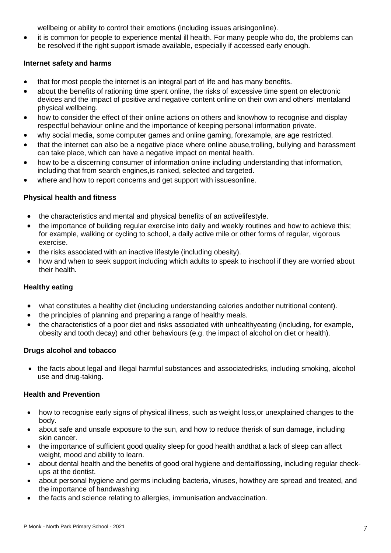wellbeing or ability to control their emotions (including issues arisingonline).

• it is common for people to experience mental ill health. For many people who do, the problems can be resolved if the right support ismade available, especially if accessed early enough.

# **Internet safety and harms**

- that for most people the internet is an integral part of life and has many benefits.
- about the benefits of rationing time spent online, the risks of excessive time spent on electronic devices and the impact of positive and negative content online on their own and others' mentaland physical wellbeing.
- how to consider the effect of their online actions on others and knowhow to recognise and display respectful behaviour online and the importance of keeping personal information private.
- why social media, some computer games and online gaming, forexample, are age restricted.
- that the internet can also be a negative place where online abuse,trolling, bullying and harassment can take place, which can have a negative impact on mental health.
- how to be a discerning consumer of information online including understanding that information, including that from search engines,is ranked, selected and targeted.
- where and how to report concerns and get support with issuesonline.

# **Physical health and fitness**

- the characteristics and mental and physical benefits of an activelifestyle.
- the importance of building regular exercise into daily and weekly routines and how to achieve this; for example, walking or cycling to school, a daily active mile or other forms of regular, vigorous exercise.
- the risks associated with an inactive lifestyle (including obesity).
- how and when to seek support including which adults to speak to inschool if they are worried about their health.

# **Healthy eating**

- what constitutes a healthy diet (including understanding calories andother nutritional content).
- the principles of planning and preparing a range of healthy meals.
- the characteristics of a poor diet and risks associated with unhealthyeating (including, for example, obesity and tooth decay) and other behaviours (e.g. the impact of alcohol on diet or health).

# **Drugs alcohol and tobacco**

• the facts about legal and illegal harmful substances and associatedrisks, including smoking, alcohol use and drug-taking.

# **Health and Prevention**

- how to recognise early signs of physical illness, such as weight loss, or unexplained changes to the body.
- about safe and unsafe exposure to the sun, and how to reduce therisk of sun damage, including skin cancer.
- the importance of sufficient good quality sleep for good health andthat a lack of sleep can affect weight, mood and ability to learn.
- about dental health and the benefits of good oral hygiene and dentalflossing, including regular checkups at the dentist.
- about personal hygiene and germs including bacteria, viruses, howthey are spread and treated, and the importance of handwashing.
- the facts and science relating to allergies, immunisation andvaccination.